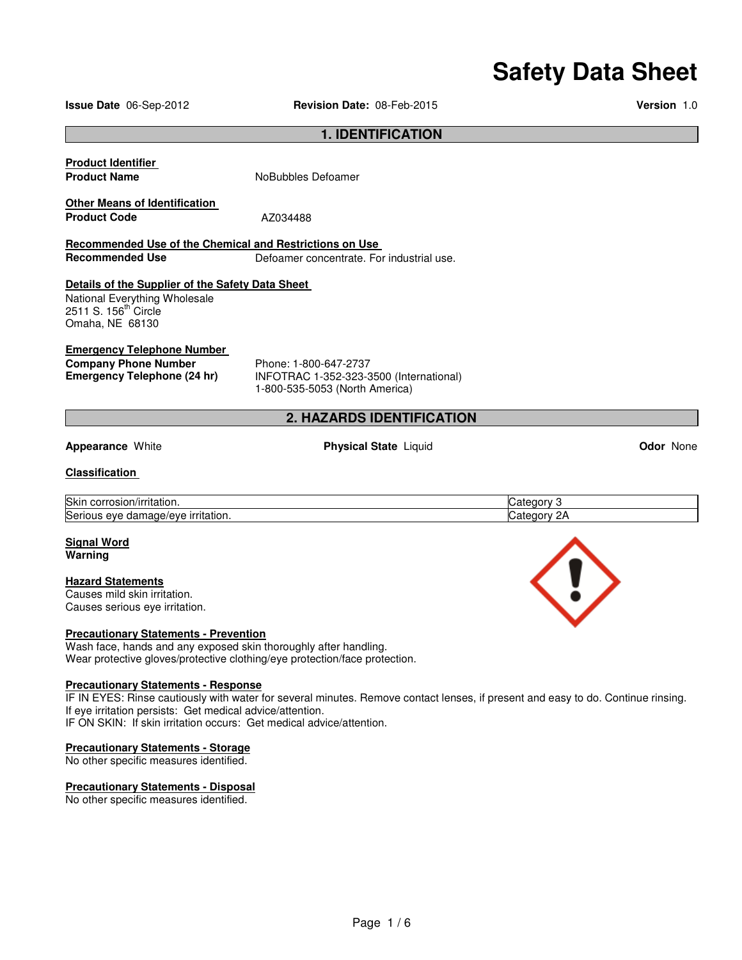# **Safety Data Sheet**

**Issue Date** 06-Sep-2012 **Revision Date:** 08-Feb-2015 **Version** 1.0

#### **1. IDENTIFICATION**

| <b>Product Identifier</b><br><b>Product Name</b>        | NoBubbles Defoamer                        |
|---------------------------------------------------------|-------------------------------------------|
| <b>Other Means of Identification</b>                    |                                           |
| <b>Product Code</b>                                     | AZ034488                                  |
| Recommended Use of the Chemical and Restrictions on Use |                                           |
| <b>Recommended Use</b>                                  | Defoamer concentrate. For industrial use. |
| Details of the Supplier of the Safety Data Sheet        |                                           |
| National Everything Wholesale                           |                                           |
| 2511 S. 156 <sup>th</sup> Circle                        |                                           |
| Omaha, NE 68130                                         |                                           |
| <b>Emergency Telephone Number</b>                       |                                           |
| <b>Company Phone Number</b>                             | Phone: 1-800-647-2737                     |
| Emergency Telephone (24 hr)                             | INFOTRAC 1-352-323-3500 (International)   |

# **2. HAZARDS IDENTIFICATION**

#### **Appearance** White **Physical State** Liquid **Odor** None

1-800-535-5053 (North America)

#### **Classification**

| ∽                                                                       | ----                                 |
|-------------------------------------------------------------------------|--------------------------------------|
| corrosion/irritation.                                                   | ᇽᇛ                                   |
| Skir                                                                    | nnrv                                 |
| ∽<br>irritation.<br><b>Serious</b><br>eve<br>۱۵۱۱۵<br>, aamage/evr<br>∼ | Juate <sup>r</sup><br>٦r<br>70<br>-- |

#### **Signal Word Warning**

#### **Hazard Statements**

Causes mild skin irritation. Causes serious eye irritation.

#### **Precautionary Statements - Prevention**

Wash face, hands and any exposed skin thoroughly after handling. Wear protective gloves/protective clothing/eye protection/face protection.

#### **Precautionary Statements - Response**

IF IN EYES: Rinse cautiously with water for several minutes. Remove contact lenses, if present and easy to do. Continue rinsing. If eye irritation persists: Get medical advice/attention. IF ON SKIN: If skin irritation occurs: Get medical advice/attention.

#### **Precautionary Statements - Storage**

No other specific measures identified.

#### **Precautionary Statements - Disposal**

No other specific measures identified.

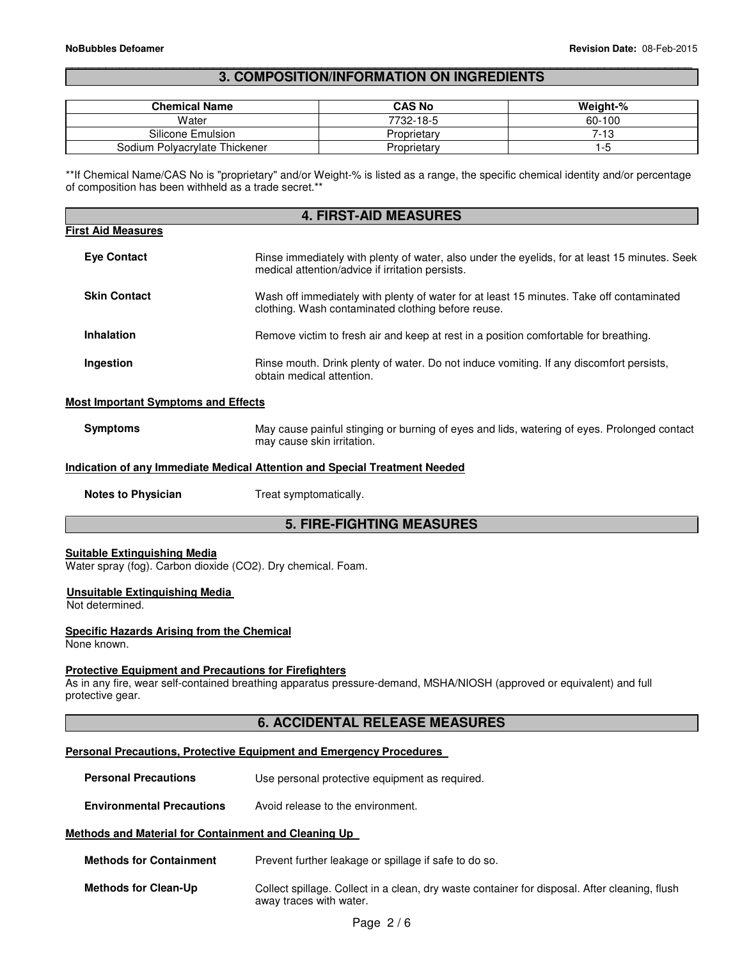#### \_\_\_\_\_\_\_\_\_\_\_\_\_\_\_\_\_\_\_\_\_\_\_\_\_\_\_\_\_\_\_\_\_\_\_\_\_\_\_\_\_\_\_\_\_\_\_\_\_\_\_\_\_\_\_\_\_\_\_\_\_\_\_\_\_\_\_\_\_\_\_\_\_\_\_\_\_\_\_\_\_\_\_\_\_\_\_\_\_\_\_\_\_ **3. COMPOSITION/INFORMATION ON INGREDIENTS**

| <b>Chemical Name</b>          | CAS No      | Weight-% |
|-------------------------------|-------------|----------|
| Water                         | 7732-18-5   | 60-100   |
| Silicone Emulsion             | Proprietary | 7-13     |
| Sodium Polyacrylate Thickener | Proprietary | 1-0      |

\*\*If Chemical Name/CAS No is "proprietary" and/or Weight-% is listed as a range, the specific chemical identity and/or percentage of composition has been withheld as a trade secret.\*\*

| <b>4. FIRST-AID MEASURES</b>               |                                                                                                                                                   |  |
|--------------------------------------------|---------------------------------------------------------------------------------------------------------------------------------------------------|--|
| <b>First Aid Measures</b>                  |                                                                                                                                                   |  |
| <b>Eve Contact</b>                         | Rinse immediately with plenty of water, also under the eyelids, for at least 15 minutes. Seek<br>medical attention/advice if irritation persists. |  |
| <b>Skin Contact</b>                        | Wash off immediately with plenty of water for at least 15 minutes. Take off contaminated<br>clothing. Wash contaminated clothing before reuse.    |  |
| Inhalation                                 | Remove victim to fresh air and keep at rest in a position comfortable for breathing.                                                              |  |
| Ingestion                                  | Rinse mouth. Drink plenty of water. Do not induce vomiting. If any discomfort persists,<br>obtain medical attention.                              |  |
| <b>Most Important Symptoms and Effects</b> |                                                                                                                                                   |  |

#### **Symptoms** May cause painful stinging or burning of eyes and lids, watering of eyes. Prolonged contact may cause skin irritation.

#### **Indication of any Immediate Medical Attention and Special Treatment Needed**

**Notes to Physician**  Treat symptomatically.

# **5. FIRE-FIGHTING MEASURES**

#### **Suitable Extinguishing Media**

Water spray (fog). Carbon dioxide (CO2). Dry chemical. Foam.

#### **Unsuitable Extinguishing Media**

Not determined.

#### **Specific Hazards Arising from the Chemical**

None known.

#### **Protective Equipment and Precautions for Firefighters**

As in any fire, wear self-contained breathing apparatus pressure-demand, MSHA/NIOSH (approved or equivalent) and full protective gear.

# **6. ACCIDENTAL RELEASE MEASURES**

#### **Personal Precautions, Protective Equipment and Emergency Procedures**

**Personal Precautions Use personal protective equipment as required.** 

**Environmental Precautions** Avoid release to the environment.

#### **Methods and Material for Containment and Cleaning Up**

| <b>Methods for Containment</b> | Prevent further leakage or spillage if safe to do so.                                                                    |
|--------------------------------|--------------------------------------------------------------------------------------------------------------------------|
| <b>Methods for Clean-Up</b>    | Collect spillage. Collect in a clean, dry waste container for disposal. After cleaning, flush<br>away traces with water. |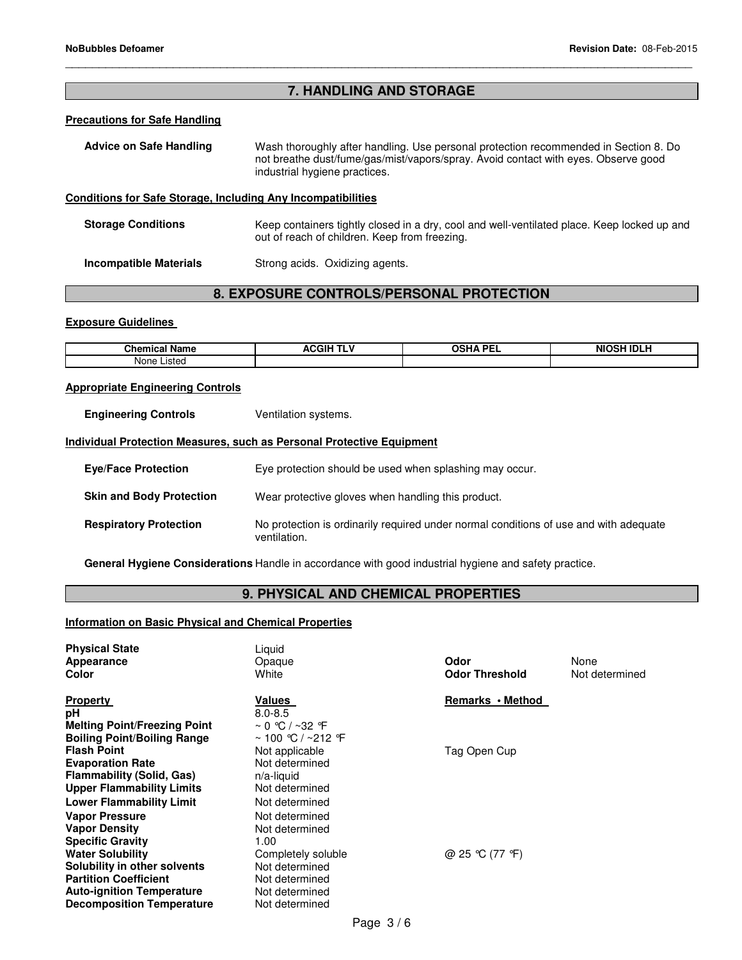# **7. HANDLING AND STORAGE**

\_\_\_\_\_\_\_\_\_\_\_\_\_\_\_\_\_\_\_\_\_\_\_\_\_\_\_\_\_\_\_\_\_\_\_\_\_\_\_\_\_\_\_\_\_\_\_\_\_\_\_\_\_\_\_\_\_\_\_\_\_\_\_\_\_\_\_\_\_\_\_\_\_\_\_\_\_\_\_\_\_\_\_\_\_\_\_\_\_\_\_\_\_

#### **Precautions for Safe Handling**

| Advice on Safe Handling                                         | Wash thoroughly after handling. Use personal protection recommended in Section 8. Do<br>not breathe dust/fume/gas/mist/vapors/spray. Avoid contact with eyes. Observe good<br>industrial hygiene practices. |
|-----------------------------------------------------------------|-------------------------------------------------------------------------------------------------------------------------------------------------------------------------------------------------------------|
| a dhisace fan Asta Atanana. In chidhear Anii In ceannath Uhisa. |                                                                                                                                                                                                             |

# **Conditions for Safe Storage, Including Any Incompatibilities**

**Storage Conditions** Keep containers tightly closed in a dry, cool and well-ventilated place. Keep locked up and out of reach of children. Keep from freezing.

**Incompatible Materials Strong acids. Oxidizing agents.** 

# **8. EXPOSURE CONTROLS/PERSONAL PROTECTION**

#### **Exposure Guidelines**

| Q <sub>max</sub><br>Nam<br>…ne″<br>™am⊾ | .GIF<br>n | <b>DEI</b><br>nn.<br>-- | $-0.011101111$<br><b>NIC</b><br>ารเ<br>m |
|-----------------------------------------|-----------|-------------------------|------------------------------------------|
| ictor.<br>None<br>שטופו                 |           |                         |                                          |

#### **Appropriate Engineering Controls**

**Engineering Controls Ventilation systems.** 

#### **Individual Protection Measures, such as Personal Protective Equipment**

| <b>Eye/Face Protection</b>      | Eye protection should be used when splashing may occur.                                               |
|---------------------------------|-------------------------------------------------------------------------------------------------------|
| <b>Skin and Body Protection</b> | Wear protective gloves when handling this product.                                                    |
| <b>Respiratory Protection</b>   | No protection is ordinarily required under normal conditions of use and with adequate<br>ventilation. |

**General Hygiene Considerations** Handle in accordance with good industrial hygiene and safety practice.

# **9. PHYSICAL AND CHEMICAL PROPERTIES**

#### **Information on Basic Physical and Chemical Properties**

| <b>Physical State</b><br>Appearance<br>Color | Liquid<br>Opaque<br>White     | Odor<br><b>Odor Threshold</b> | None<br>Not determined |
|----------------------------------------------|-------------------------------|-------------------------------|------------------------|
| <b>Property</b>                              | Values                        | Remarks • Method              |                        |
| рH                                           | $8.0 - 8.5$                   |                               |                        |
| <b>Melting Point/Freezing Point</b>          | $\sim$ 0 °C / ~32 °F          |                               |                        |
| <b>Boiling Point/Boiling Range</b>           | $~\sim$ 100 ℃ / $~\sim$ 212 ℉ |                               |                        |
| <b>Flash Point</b>                           | Not applicable                | Tag Open Cup                  |                        |
| <b>Evaporation Rate</b>                      | Not determined                |                               |                        |
| <b>Flammability (Solid, Gas)</b>             | $n/a$ -liquid                 |                               |                        |
| <b>Upper Flammability Limits</b>             | Not determined                |                               |                        |
| <b>Lower Flammability Limit</b>              | Not determined                |                               |                        |
| <b>Vapor Pressure</b>                        | Not determined                |                               |                        |
| <b>Vapor Density</b>                         | Not determined                |                               |                        |
| <b>Specific Gravity</b>                      | 1.00                          |                               |                        |
| <b>Water Solubility</b>                      | Completely soluble            | @ 25 °C (77 °F)               |                        |
| Solubility in other solvents                 | Not determined                |                               |                        |
| <b>Partition Coefficient</b>                 | Not determined                |                               |                        |
| <b>Auto-ignition Temperature</b>             | Not determined                |                               |                        |
| <b>Decomposition Temperature</b>             | Not determined                |                               |                        |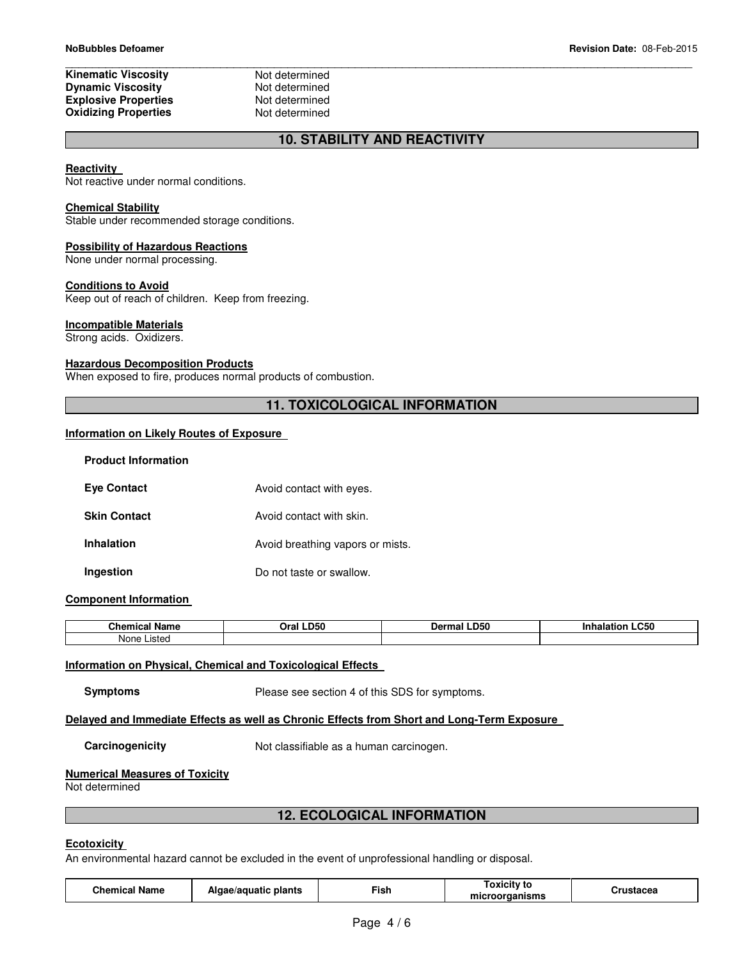#### **Kinematic Viscosity Not determined<br>
Dynamic Viscosity Not determined Dynamic Viscosity**<br> **Explosive Properties**<br>
Not determined **Explosive Properties Not determined**<br> **Oxidizing Properties Not determined Oxidizing Properties**

\_\_\_\_\_\_\_\_\_\_\_\_\_\_\_\_\_\_\_\_\_\_\_\_\_\_\_\_\_\_\_\_\_\_\_\_\_\_\_\_\_\_\_\_\_\_\_\_\_\_\_\_\_\_\_\_\_\_\_\_\_\_\_\_\_\_\_\_\_\_\_\_\_\_\_\_\_\_\_\_\_\_\_\_\_\_\_\_\_\_\_\_\_

# **10. STABILITY AND REACTIVITY**

#### **Reactivity**

Not reactive under normal conditions.

#### **Chemical Stability**

Stable under recommended storage conditions.

#### **Possibility of Hazardous Reactions**

None under normal processing.

#### **Conditions to Avoid**

Keep out of reach of children. Keep from freezing.

#### **Incompatible Materials**

Strong acids. Oxidizers.

#### **Hazardous Decomposition Products**

When exposed to fire, produces normal products of combustion.

# **11. TOXICOLOGICAL INFORMATION**

#### **Information on Likely Routes of Exposure**

| <b>Product Information</b> |                                  |
|----------------------------|----------------------------------|
| <b>Eye Contact</b>         | Avoid contact with eyes.         |
| <b>Skin Contact</b>        | Avoid contact with skin.         |
| <b>Inhalation</b>          | Avoid breathing vapors or mists. |
| Ingestion                  | Do not taste or swallow.         |

#### **Component Information**

| $\sim$ $\sim$ $\sim$ $\sim$ $\sim$<br>. .<br>Name<br>⊶ne∽<br>еннса | <b>LD50</b><br>)ra | <b>.D50</b><br>1arm | <b>.C50</b> |
|--------------------------------------------------------------------|--------------------|---------------------|-------------|
| None<br>$. - +$<br>ט פו                                            |                    |                     |             |

#### **Information on Physical, Chemical and Toxicological Effects**

**Symptoms** Please see section 4 of this SDS for symptoms.

#### **Delayed and Immediate Effects as well as Chronic Effects from Short and Long-Term Exposure**

**Carcinogenicity Not classifiable as a human carcinogen.** 

#### **Numerical Measures of Toxicity**

Not determined

#### **12. ECOLOGICAL INFORMATION**

#### **Ecotoxicity**

An environmental hazard cannot be excluded in the event of unprofessional handling or disposal.

| <b>Chemical Name</b> | Algae/aquatic plants | --<br>Fish | --<br>Toxicitv to<br>microorganisms | Crustacea |
|----------------------|----------------------|------------|-------------------------------------|-----------|
|----------------------|----------------------|------------|-------------------------------------|-----------|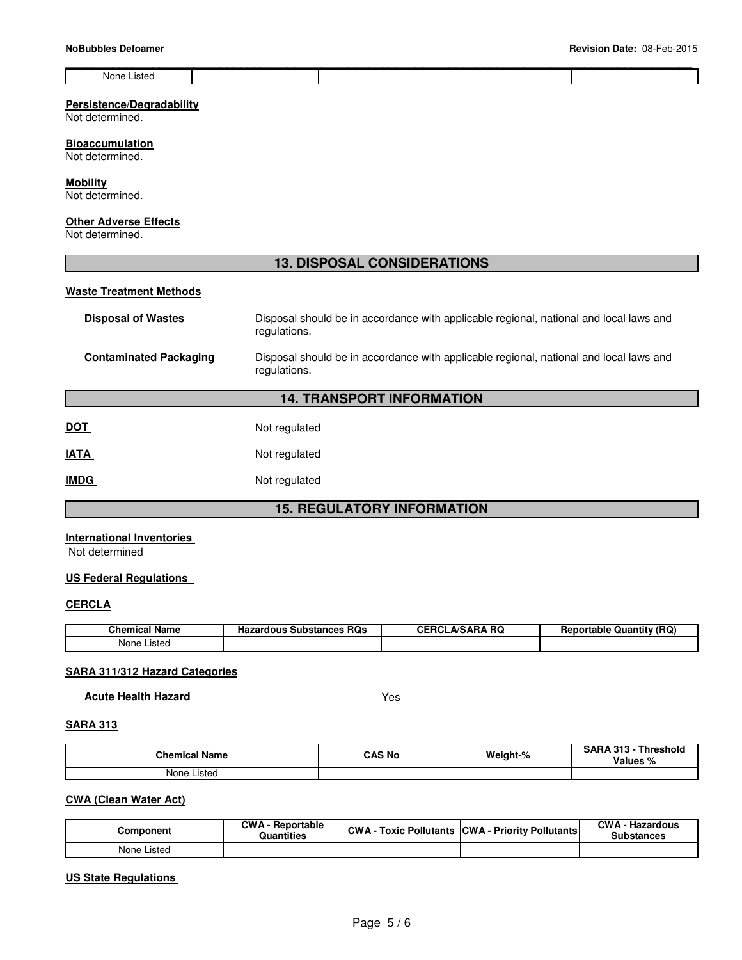|                |  | _____ |
|----------------|--|-------|
| None<br>.istec |  |       |

#### **Persistence/Degradability**

Not determined.

#### **Bioaccumulation**

Not determined.

# **Mobility**

L

Not determined.

#### **Other Adverse Effects**

Not determined.

# **13. DISPOSAL CONSIDERATIONS**

#### **Waste Treatment Methods**

| <b>Disposal of Wastes</b>        | Disposal should be in accordance with applicable regional, national and local laws and<br>regulations. |  |  |  |
|----------------------------------|--------------------------------------------------------------------------------------------------------|--|--|--|
| <b>Contaminated Packaging</b>    | Disposal should be in accordance with applicable regional, national and local laws and<br>regulations. |  |  |  |
| <b>14. TRANSPORT INFORMATION</b> |                                                                                                        |  |  |  |
| DOT                              | Not regulated                                                                                          |  |  |  |

# **IATA** Not regulated

**IMDG** Not regulated

# **15. REGULATORY INFORMATION**

### **International Inventories**

Not determined

#### **US Federal Regulations**

#### **CERCLA**

| <b>Chemical Name</b> | . RQs<br>Hazardous<br>: Substances | <b>CEDOL</b><br>A/SARA RQ<br>nu<br>ЧC. | <b>Reportable Quantity (RQ)</b> |
|----------------------|------------------------------------|----------------------------------------|---------------------------------|
| Listed<br>None l     |                                    |                                        |                                 |

#### **SARA 311/312 Hazard Categories**

**Acute Health Hazard** Yes

#### **SARA 313**

| <b>Chemical Name</b> | <b>CAS No</b> | Weight-% | Threshold<br>SARA 313 -<br>Values % |
|----------------------|---------------|----------|-------------------------------------|
| .isted<br>None       |               |          |                                     |

# **CWA (Clean Water Act)**

| Component   | <b>CWA - Reportable</b><br><b>Quantities</b> | CWA- | Toxic Pollutants CWA - Priority Pollutants | <b>CWA - Hazardous</b><br>Substances |
|-------------|----------------------------------------------|------|--------------------------------------------|--------------------------------------|
| None Listed |                                              |      |                                            |                                      |

#### **US State Regulations**